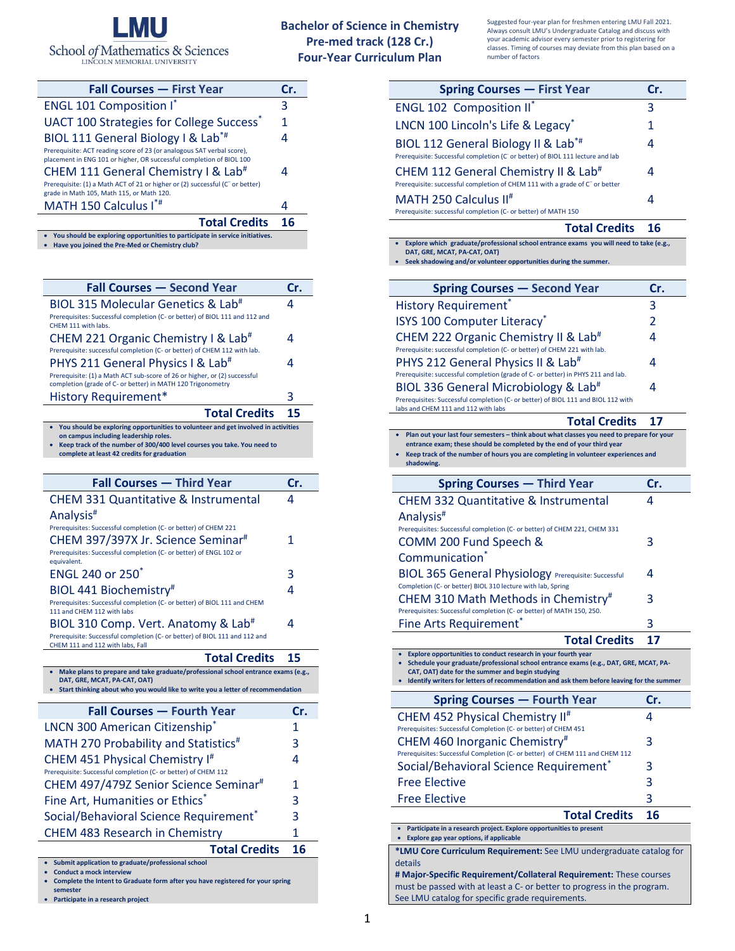

## **Bachelor of Science in Chemistry Pre-med track (128 Cr.) Four-Year Curriculum Plan**

Suggested four-year plan for freshmen entering LMU Fall 2021. Always consult LMU's Undergraduate Catalog and discuss with your academic advisor every semester prior to registering for classes. Timing of courses may deviate from this plan based on a

| <b>Fall Courses - First Year</b>                                                                                                               | Cr. |
|------------------------------------------------------------------------------------------------------------------------------------------------|-----|
| <b>ENGL 101 Composition I*</b>                                                                                                                 | 3   |
| UACT 100 Strategies for College Success <sup>*</sup>                                                                                           | 1   |
| BIOL 111 General Biology I & Lab <sup>*#</sup>                                                                                                 | 4   |
| Prerequisite: ACT reading score of 23 (or analogous SAT verbal score),<br>placement in ENG 101 or higher, OR successful completion of BIOL 100 |     |
| CHEM 111 General Chemistry I & Lab <sup>#</sup>                                                                                                |     |
| Prerequisite: (1) a Math ACT of 21 or higher or (2) successful (C <sup>-</sup> or better)<br>grade in Math 105, Math 115, or Math 120.         |     |
| MATH 150 Calculus I*#                                                                                                                          |     |
| <b>Total Credits</b>                                                                                                                           | 16  |
| You should be exploring opportunities to participate in service initiatives.                                                                   |     |

| _____ | <b>Tod should be exploring opportunities to purticipate in serv</b> |
|-------|---------------------------------------------------------------------|
|       | • Have you joined the Pre-Med or Chemistry club?                    |

| <b>Fall Courses - Second Year</b>                                                                                                        | Cr. |
|------------------------------------------------------------------------------------------------------------------------------------------|-----|
| BIOL 315 Molecular Genetics & Lab <sup>#</sup>                                                                                           | 4   |
| Prerequisites: Successful completion (C- or better) of BIOL 111 and 112 and<br>CHEM 111 with labs.                                       |     |
| CHEM 221 Organic Chemistry I & Lab <sup>#</sup>                                                                                          | 4   |
| Prerequisite: successful completion (C- or better) of CHEM 112 with lab.                                                                 |     |
| PHYS 211 General Physics I & Lab <sup>#</sup>                                                                                            | 4   |
| Prerequisite: (1) a Math ACT sub-score of 26 or higher, or (2) successful<br>completion (grade of C- or better) in MATH 120 Trigonometry |     |
| <b>History Requirement*</b>                                                                                                              | 3   |
| <b>Total Credits</b>                                                                                                                     | 15  |
| You should be exploring opportunities to volunteer and get involved in activities<br>on campus including leadership roles.               |     |

**on campus including leadership roles.** • **Keep track of the number of 300/400 level courses you take. You need to complete at least 42 credits for graduation**

| <b>Fall Courses - Third Year</b>                                                                               | Cr. |
|----------------------------------------------------------------------------------------------------------------|-----|
| <b>CHEM 331 Quantitative &amp; Instrumental</b>                                                                | 4   |
| Analysis <sup>#</sup>                                                                                          |     |
| Prerequisites: Successful completion (C- or better) of CHEM 221                                                |     |
| CHEM 397/397X Jr. Science Seminar#                                                                             | 1   |
| Prerequisites: Successful completion (C- or better) of ENGL 102 or<br>equivalent.                              |     |
|                                                                                                                |     |
| ENGL 240 or 250*                                                                                               | 3   |
| BIOL 441 Biochemistry#                                                                                         | 4   |
| Prerequisites: Successful completion (C- or better) of BIOL 111 and CHEM<br>111 and CHEM 112 with labs         |     |
| BIOL 310 Comp. Vert. Anatomy & Lab <sup>#</sup>                                                                | 4   |
| Prerequisite: Successful completion (C- or better) of BIOL 111 and 112 and<br>CHEM 111 and 112 with labs, Fall |     |
|                                                                                                                |     |

| <b>Total Credits</b>                                                                                                                                                                                 | 15  |
|------------------------------------------------------------------------------------------------------------------------------------------------------------------------------------------------------|-----|
| Make plans to prepare and take graduate/professional school entrance exams (e.g.,<br>DAT. GRE. MCAT. PA-CAT. OAT)<br>Start thinking about who you would like to write you a letter of recommendation |     |
| <b>Fall Courses - Fourth Year</b>                                                                                                                                                                    | Cr. |
| LNCN 300 American Citizenship <sup>®</sup>                                                                                                                                                           | 1   |
| MATH 270 Probability and Statistics <sup>#</sup>                                                                                                                                                     | 3   |
| CHEM 451 Physical Chemistry I <sup>#</sup><br>Prerequisite: Successful completion (C- or better) of CHEM 112                                                                                         | 4   |
| CHEM 497/479Z Senior Science Seminar <sup>#</sup>                                                                                                                                                    | 1   |
| Fine Art, Humanities or Ethics*                                                                                                                                                                      | 3   |
| Social/Behavioral Science Requirement <sup>®</sup>                                                                                                                                                   | 3   |
| <b>CHEM 483 Research in Chemistry</b>                                                                                                                                                                | 1   |
| <b>Total Credits</b>                                                                                                                                                                                 | 16  |
| Submit application to graduate/professional school<br><b>Conduct a mock interview</b>                                                                                                                |     |

• **Conduct a mock interview** • **Complete the Intent to Graduate form after you have registered for your spring** 

**semester** • **Participate in a research project**  number of factors

| <b>Spring Courses - First Year</b>                                                                                                                                                                                                                                                                     | Cr.            |
|--------------------------------------------------------------------------------------------------------------------------------------------------------------------------------------------------------------------------------------------------------------------------------------------------------|----------------|
| <b>ENGL 102 Composition II*</b>                                                                                                                                                                                                                                                                        | 3              |
| LNCN 100 Lincoln's Life & Legacy <sup>*</sup>                                                                                                                                                                                                                                                          | 1              |
| BIOL 112 General Biology II & Lab <sup>*#</sup><br>Prerequisite: Successful completion (C' or better) of BIOL 111 lecture and lab                                                                                                                                                                      | 4              |
| CHEM 112 General Chemistry II & Lab <sup>#</sup><br>Prerequisite: successful completion of CHEM 111 with a grade of C <sup>-</sup> or better                                                                                                                                                           | 4              |
| MATH 250 Calculus II <sup>#</sup><br>Prerequisite: successful completion (C- or better) of MATH 150                                                                                                                                                                                                    | 4              |
| <b>Total Credits</b>                                                                                                                                                                                                                                                                                   | 16             |
| Explore which graduate/professional school entrance exams you will need to take (e.g.,<br>DAT, GRE, MCAT, PA-CAT, OAT)<br>Seek shadowing and/or volunteer opportunities during the summer.                                                                                                             |                |
| <b>Spring Courses - Second Year</b>                                                                                                                                                                                                                                                                    | Cr.            |
| <b>History Requirement*</b>                                                                                                                                                                                                                                                                            | 3              |
| <b>ISYS 100 Computer Literacy</b> *                                                                                                                                                                                                                                                                    | $\overline{2}$ |
| CHEM 222 Organic Chemistry II & Lab <sup>#</sup>                                                                                                                                                                                                                                                       | 4              |
| Prerequisite: successful completion (C- or better) of CHEM 221 with lab.<br>PHYS 212 General Physics II & Lab <sup>#</sup>                                                                                                                                                                             | 4              |
| Prerequisite: successful completion (grade of C- or better) in PHYS 211 and lab.<br>BIOL 336 General Microbiology & Lab <sup>#</sup><br>Prerequisites: Successful completion (C- or better) of BIOL 111 and BIOL 112 with<br>labs and CHEM 111 and 112 with labs                                       | 4              |
| <b>Total Credits</b>                                                                                                                                                                                                                                                                                   | 17             |
| • Plan out your last four semesters - think about what classes you need to prepare for your<br>entrance exam; these should be completed by the end of your third year<br>Keep track of the number of hours you are completing in volunteer experiences and<br>shadowing.                               |                |
|                                                                                                                                                                                                                                                                                                        |                |
|                                                                                                                                                                                                                                                                                                        | Cr.            |
| <b>Spring Courses - Third Year</b>                                                                                                                                                                                                                                                                     | Δ              |
| CHEM 332 Quantitative & Instrumental<br>Analysis <sup>#</sup><br>Prerequisites: Successful completion (C- or better) of CHEM 221, CHEM 331<br>COMM 200 Fund Speech &                                                                                                                                   | 3              |
| Communication <sup>*</sup><br><b>BIOL 365 General Physiology Prerequisite: Successful</b>                                                                                                                                                                                                              | 4              |
| Completion (C- or better) BIOL 310 lecture with lab, Spring<br>CHEM 310 Math Methods in Chemistry <sup>#</sup>                                                                                                                                                                                         | 3              |
| Prerequisites: Successful completion (C- or better) of MATH 150, 250.                                                                                                                                                                                                                                  | 3              |
| <b>Fine Arts Requirement</b><br><b>Total Credits</b>                                                                                                                                                                                                                                                   | 17             |
| Explore opportunities to conduct research in your fourth year<br>Schedule your graduate/professional school entrance exams (e.g., DAT, GRE, MCAT, PA-<br>CAT, OAT) date for the summer and begin studying<br>Identify writers for letters of recommendation and ask them before leaving for the summer |                |
| <b>Spring Courses - Fourth Year</b>                                                                                                                                                                                                                                                                    | Cr.            |
| CHEM 452 Physical Chemistry II <sup>#</sup>                                                                                                                                                                                                                                                            | 4              |
| Prerequisites: Successful Completion (C- or better) of CHEM 451<br>CHEM 460 Inorganic Chemistry <sup>#</sup>                                                                                                                                                                                           | 3              |
| Prerequisites: Successful Completion (C- or better) of CHEM 111 and CHEM 112                                                                                                                                                                                                                           | 3              |
| Social/Behavioral Science Requirement <sup>®</sup><br><b>Free Elective</b>                                                                                                                                                                                                                             | 3              |
| <b>Free Elective</b>                                                                                                                                                                                                                                                                                   | 3              |
| <b>Total Credits</b>                                                                                                                                                                                                                                                                                   | 16             |
| • Participate in a research project. Explore opportunities to present                                                                                                                                                                                                                                  |                |
| Explore gap year options, if applicable<br>*LMU Core Curriculum Requirement: See LMU undergraduate catalog for                                                                                                                                                                                         |                |

**# Major-Specific Requirement/Collateral Requirement:** These courses must be passed with at least a C- or better to progress in the program. See LMU catalog for specific grade requirements.